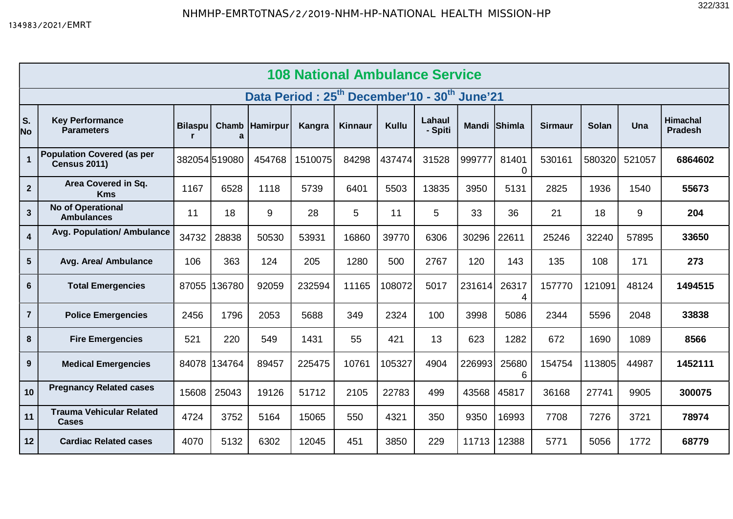| <b>108 National Ambulance Service</b>                                |                                                          |                |              |                  |         |         |        |                   |              |            |                |              |        |                                   |
|----------------------------------------------------------------------|----------------------------------------------------------|----------------|--------------|------------------|---------|---------|--------|-------------------|--------------|------------|----------------|--------------|--------|-----------------------------------|
| Data Period: 25 <sup>th</sup> December'10 - 30 <sup>th</sup> June'21 |                                                          |                |              |                  |         |         |        |                   |              |            |                |              |        |                                   |
| S.<br>No                                                             | <b>Key Performance</b><br><b>Parameters</b>              | <b>Bilaspu</b> | a            | Chamb   Hamirpur | Kangra  | Kinnaur | Kullu  | Lahaul<br>- Spiti | Mandi Shimla |            | <b>Sirmaur</b> | <b>Solan</b> | Una    | <b>Himachal</b><br><b>Pradesh</b> |
| $\overline{1}$                                                       | <b>Population Covered (as per</b><br><b>Census 2011)</b> | 382054519080   |              | 454768           | 1510075 | 84298   | 437474 | 31528             | 999777       | 81401<br>0 | 530161         | 580320       | 521057 | 6864602                           |
| $\mathbf{2}$                                                         | Area Covered in Sq.<br><b>Kms</b>                        | 1167           | 6528         | 1118             | 5739    | 6401    | 5503   | 13835             | 3950         | 5131       | 2825           | 1936         | 1540   | 55673                             |
| $\mathbf{3}$                                                         | No of Operational<br><b>Ambulances</b>                   | 11             | 18           | 9                | 28      | 5       | 11     | 5                 | 33           | 36         | 21             | 18           | 9      | 204                               |
| $\overline{4}$                                                       | <b>Avg. Population/ Ambulance</b>                        | 34732          | 28838        | 50530            | 53931   | 16860   | 39770  | 6306              | 30296        | 22611      | 25246          | 32240        | 57895  | 33650                             |
| $5\phantom{.0}$                                                      | Avg. Area/ Ambulance                                     | 106            | 363          | 124              | 205     | 1280    | 500    | 2767              | 120          | 143        | 135            | 108          | 171    | 273                               |
| $6\phantom{1}$                                                       | <b>Total Emergencies</b>                                 | 87055          | 36780        | 92059            | 232594  | 11165   | 108072 | 5017              | 231614       | 26317      | 157770         | 121091       | 48124  | 1494515                           |
| $\overline{7}$                                                       | <b>Police Emergencies</b>                                | 2456           | 1796         | 2053             | 5688    | 349     | 2324   | 100               | 3998         | 5086       | 2344           | 5596         | 2048   | 33838                             |
| 8                                                                    | <b>Fire Emergencies</b>                                  | 521            | 220          | 549              | 1431    | 55      | 421    | 13                | 623          | 1282       | 672            | 1690         | 1089   | 8566                              |
| 9                                                                    | <b>Medical Emergencies</b>                               |                | 84078 134764 | 89457            | 225475  | 10761   | 105327 | 4904              | 226993       | 25680<br>6 | 154754         | 113805       | 44987  | 1452111                           |
| 10                                                                   | <b>Pregnancy Related cases</b>                           | 15608          | 25043        | 19126            | 51712   | 2105    | 22783  | 499               | 43568        | 45817      | 36168          | 27741        | 9905   | 300075                            |
| 11                                                                   | <b>Trauma Vehicular Related</b><br>Cases                 | 4724           | 3752         | 5164             | 15065   | 550     | 4321   | 350               | 9350         | 16993      | 7708           | 7276         | 3721   | 78974                             |
| 12                                                                   | <b>Cardiac Related cases</b>                             | 4070           | 5132         | 6302             | 12045   | 451     | 3850   | 229               | 11713        | 12388      | 5771           | 5056         | 1772   | 68779                             |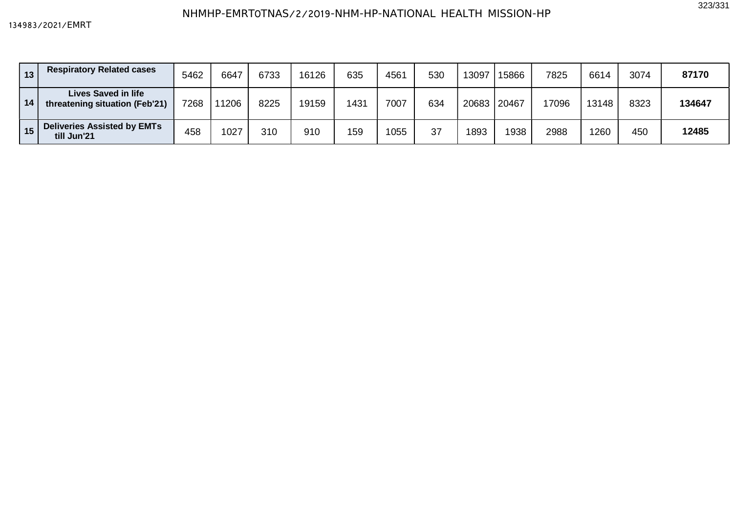| 13 | <b>Respiratory Related cases</b>                             | 5462 | 6647 | 6733 | 16126 | 635  | 4561 | 530 | 13097 | 15866 | 7825  | 6614  | 3074 | 87170  |
|----|--------------------------------------------------------------|------|------|------|-------|------|------|-----|-------|-------|-------|-------|------|--------|
| 14 | <b>Lives Saved in life</b><br>threatening situation (Feb'21) | 7268 | 1206 | 8225 | 19159 | 1431 | 7007 | 634 | 20683 | 20467 | 17096 | 13148 | 8323 | 134647 |
| 15 | <b>Deliveries Assisted by EMTs</b><br>till Jun'21            | 458  | 1027 | 310  | 910   | 159  | 1055 | 37  | 1893  | 1938  | 2988  | 1260  | 450  | 12485  |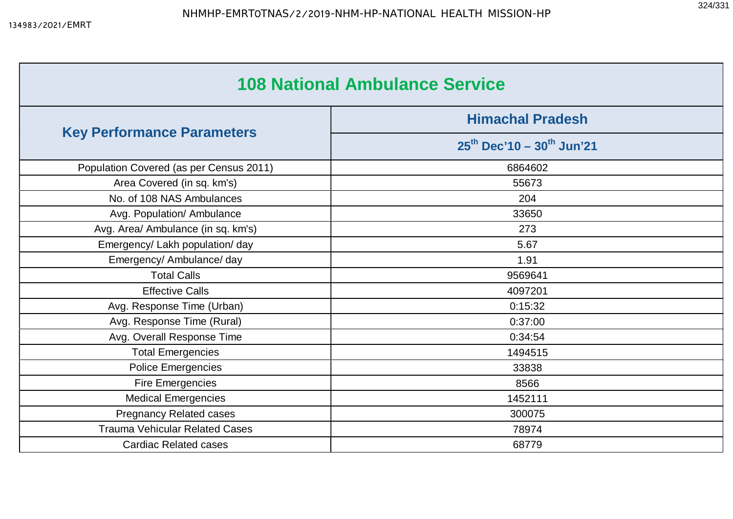| <b>108 National Ambulance Service</b>   |                                                                |  |  |  |  |  |  |
|-----------------------------------------|----------------------------------------------------------------|--|--|--|--|--|--|
|                                         | <b>Himachal Pradesh</b><br>$25^{th}$ Dec'10 - $30^{th}$ Jun'21 |  |  |  |  |  |  |
| <b>Key Performance Parameters</b>       |                                                                |  |  |  |  |  |  |
| Population Covered (as per Census 2011) | 6864602                                                        |  |  |  |  |  |  |
| Area Covered (in sq. km's)              | 55673                                                          |  |  |  |  |  |  |
| No. of 108 NAS Ambulances               | 204                                                            |  |  |  |  |  |  |
| Avg. Population/ Ambulance              | 33650                                                          |  |  |  |  |  |  |
| Avg. Area/ Ambulance (in sq. km's)      | 273                                                            |  |  |  |  |  |  |
| Emergency/ Lakh population/ day         | 5.67                                                           |  |  |  |  |  |  |
| Emergency/ Ambulance/ day               | 1.91                                                           |  |  |  |  |  |  |
| <b>Total Calls</b>                      | 9569641                                                        |  |  |  |  |  |  |
| <b>Effective Calls</b>                  | 4097201                                                        |  |  |  |  |  |  |
| Avg. Response Time (Urban)              | 0:15:32                                                        |  |  |  |  |  |  |
| Avg. Response Time (Rural)              | 0:37:00                                                        |  |  |  |  |  |  |
| Avg. Overall Response Time              | 0:34:54                                                        |  |  |  |  |  |  |
| <b>Total Emergencies</b>                | 1494515                                                        |  |  |  |  |  |  |
| <b>Police Emergencies</b>               | 33838                                                          |  |  |  |  |  |  |
| <b>Fire Emergencies</b>                 | 8566                                                           |  |  |  |  |  |  |
| <b>Medical Emergencies</b>              | 1452111                                                        |  |  |  |  |  |  |
| <b>Pregnancy Related cases</b>          | 300075                                                         |  |  |  |  |  |  |
| <b>Trauma Vehicular Related Cases</b>   | 78974                                                          |  |  |  |  |  |  |
| <b>Cardiac Related cases</b>            | 68779                                                          |  |  |  |  |  |  |